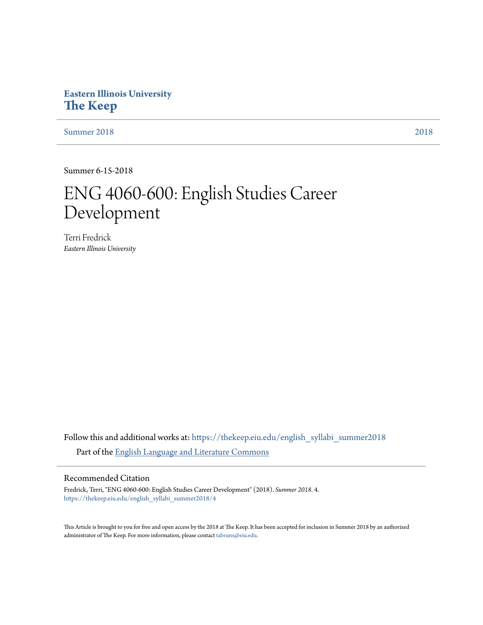# **Eastern Illinois University [The Keep](https://thekeep.eiu.edu?utm_source=thekeep.eiu.edu%2Fenglish_syllabi_summer2018%2F4&utm_medium=PDF&utm_campaign=PDFCoverPages)**

[Summer 2018](https://thekeep.eiu.edu/english_syllabi_summer2018?utm_source=thekeep.eiu.edu%2Fenglish_syllabi_summer2018%2F4&utm_medium=PDF&utm_campaign=PDFCoverPages) [2018](https://thekeep.eiu.edu/english_syllabi2018?utm_source=thekeep.eiu.edu%2Fenglish_syllabi_summer2018%2F4&utm_medium=PDF&utm_campaign=PDFCoverPages)

Summer 6-15-2018

# ENG 4060-600: English Studies Career Development

Terri Fredrick *Eastern Illinois University*

Follow this and additional works at: [https://thekeep.eiu.edu/english\\_syllabi\\_summer2018](https://thekeep.eiu.edu/english_syllabi_summer2018?utm_source=thekeep.eiu.edu%2Fenglish_syllabi_summer2018%2F4&utm_medium=PDF&utm_campaign=PDFCoverPages) Part of the [English Language and Literature Commons](http://network.bepress.com/hgg/discipline/455?utm_source=thekeep.eiu.edu%2Fenglish_syllabi_summer2018%2F4&utm_medium=PDF&utm_campaign=PDFCoverPages)

#### Recommended Citation

Fredrick, Terri, "ENG 4060-600: English Studies Career Development" (2018). *Summer 2018*. 4. [https://thekeep.eiu.edu/english\\_syllabi\\_summer2018/4](https://thekeep.eiu.edu/english_syllabi_summer2018/4?utm_source=thekeep.eiu.edu%2Fenglish_syllabi_summer2018%2F4&utm_medium=PDF&utm_campaign=PDFCoverPages)

This Article is brought to you for free and open access by the 2018 at The Keep. It has been accepted for inclusion in Summer 2018 by an authorized administrator of The Keep. For more information, please contact [tabruns@eiu.edu.](mailto:tabruns@eiu.edu)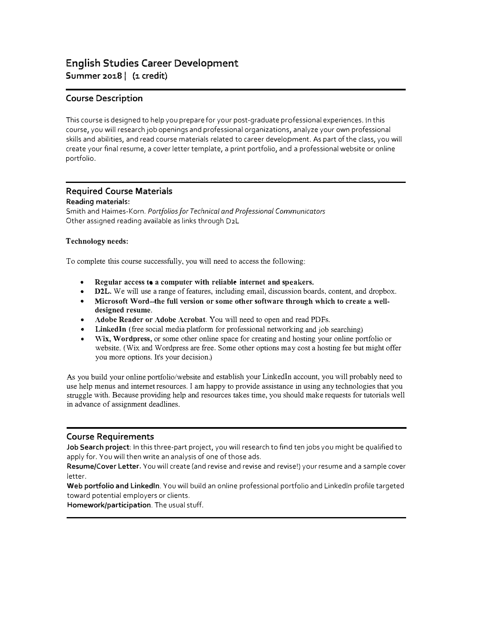# English Studies Career Development Summer 2018 | (1 credit)

## Course Description

This course is designed to help you prepare for your post-graduate professional experiences. In this course, you will research job openings and professional organizations, analyze your own professional skills and abilities, and read course materials related to career development. As part of the class, you will create your final resume, a cover letter template, a print portfolio, and a professional website or online portfolio.

#### Required Course Materials Reading materials:

Smith and Haimes-Korn. Portfolios for Technical and Professional Communicators Other assigned reading available as links through D2L

#### Technology needs:

To complete this course successfully, you will need to access the following:

- Regular access to a computer with reliable internet and speakers.
- D2L. We will use a range of features, including email, discussion boards, content, and dropbox.
- Microsoft Word--the full version or some other software through which to create a welldesigned resume.
- Adobe Reader or Adobe Acrobat. You will need to open and read PDFs.
- LinkedIn (free social media platform for professional networking and job searching)
- Wix, Wordpress, or some other online space for creating and hosting your online portfolio or website. (Wix and Wordpress are free. Some other options may cost a hosting fee but might offer you more options. It's your decision.)

As you build your online portfolio/website and establish your Linkedln account, you will probably need to use help menus and internet resources. I am happy to provide assistance in using any technologies that you struggle with. Because providing help and resources takes time, you should make requests for tutorials well in advance of assignment deadlines.

## Course Requirements

Job Search project: In this three-part project, you will research to find ten jobs you might be qualified to apply for. You will then write an analysis of one of those ads.

Resume/Cover Letter. You will create (and revise and revise and revise!) your resume and a sample cover letter.

Web portfolio and Linkedln. You will build an online professional portfolio and Linkedln profile targeted toward potential employers or clients.

Homework/participation. The usual stuff.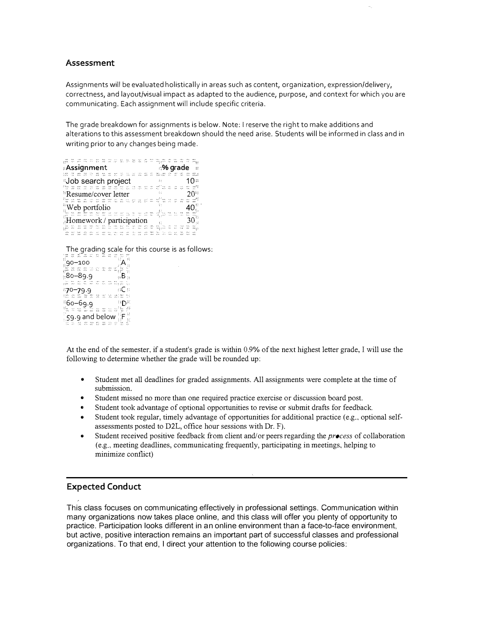#### Assessment

Assignments will be evaluated holistically in areas such as content, organization, expression/delivery, correctness, and layout/visual impact as adapted to the audience, purpose, and context for which you are communicating. Each assignment will include specific criteria.

The grade breakdown for assignments is below. Note: I reserve the right to make additions and alterations to this assessment breakdown should the need arise. Students will be informed in class and in writing prior to any changes being made.

| <b>Assignment</b> :<br>ා% grade |                                  |  |  |  |  |  |  |  |  |  |  |  |  |  |  |  |  |  |  |
|---------------------------------|----------------------------------|--|--|--|--|--|--|--|--|--|--|--|--|--|--|--|--|--|--|
|                                 |                                  |  |  |  |  |  |  |  |  |  |  |  |  |  |  |  |  |  |  |
| Job search project<br>x.        |                                  |  |  |  |  |  |  |  |  |  |  |  |  |  |  |  |  |  |  |
|                                 |                                  |  |  |  |  |  |  |  |  |  |  |  |  |  |  |  |  |  |  |
|                                 | <sup>8</sup> Resume/cover letter |  |  |  |  |  |  |  |  |  |  |  |  |  |  |  |  |  |  |
|                                 |                                  |  |  |  |  |  |  |  |  |  |  |  |  |  |  |  |  |  |  |
| Web portfolio                   |                                  |  |  |  |  |  |  |  |  |  |  |  |  |  |  |  |  |  |  |
|                                 |                                  |  |  |  |  |  |  |  |  |  |  |  |  |  |  |  |  |  |  |
| Homework / participation        |                                  |  |  |  |  |  |  |  |  |  |  |  |  |  |  |  |  |  |  |
|                                 |                                  |  |  |  |  |  |  |  |  |  |  |  |  |  |  |  |  |  |  |
|                                 |                                  |  |  |  |  |  |  |  |  |  |  |  |  |  |  |  |  |  |  |
|                                 |                                  |  |  |  |  |  |  |  |  |  |  |  |  |  |  |  |  |  |  |
|                                 |                                  |  |  |  |  |  |  |  |  |  |  |  |  |  |  |  |  |  |  |

The grading scale for this course is as follows:<br>a state a state in

|                |              |             |                          | and the country |                     |                    |              |              |              | <b>DOM AT</b> |  |  |  |  |
|----------------|--------------|-------------|--------------------------|-----------------|---------------------|--------------------|--------------|--------------|--------------|---------------|--|--|--|--|
| 560            |              |             | Ag58                     | $A++$           | <b>SHE</b>          | $-$                | حسه          | $N_{\rm{m}}$ |              |               |  |  |  |  |
| 86.            |              |             |                          |                 |                     |                    |              |              |              |               |  |  |  |  |
|                |              |             |                          |                 |                     |                    |              |              |              |               |  |  |  |  |
| ,90–100        |              |             |                          |                 |                     |                    |              |              |              |               |  |  |  |  |
|                |              |             |                          |                 |                     |                    |              |              |              |               |  |  |  |  |
|                |              |             |                          | a tau           | All Party           | AM1                | ıNa          |              |              |               |  |  |  |  |
|                |              | <b>CON-</b> | $120 -$                  |                 | $\sigma_{\rm{eff}}$ | ÷.                 | $\sim$       |              |              |               |  |  |  |  |
|                |              |             |                          |                 |                     |                    |              |              |              |               |  |  |  |  |
| 80–89.9⊧       |              |             |                          |                 |                     |                    |              |              | ⊹Β⊹          |               |  |  |  |  |
|                |              |             |                          |                 |                     |                    |              |              |              |               |  |  |  |  |
|                |              |             |                          |                 |                     |                    |              |              |              |               |  |  |  |  |
|                |              |             | $\overline{\phantom{a}}$ |                 | <b>START</b>        |                    |              | <b>COLL</b>  | SeAs.        |               |  |  |  |  |
| paw ind        |              | $\sim$      | w                        | 152.            | <b>CALL</b>         | $\sim$             | <b>Frank</b> |              | 计图 医细胞       | 24.9          |  |  |  |  |
|                |              |             |                          |                 |                     |                    |              |              |              |               |  |  |  |  |
|                |              |             |                          |                 |                     |                    |              |              | ⊕C⊕          |               |  |  |  |  |
| ి70–79.9       |              |             |                          |                 |                     |                    |              |              |              |               |  |  |  |  |
|                |              |             |                          |                 |                     |                    |              |              |              |               |  |  |  |  |
|                |              |             |                          | kind.           | <b>Address</b>      |                    |              |              | say it was a |               |  |  |  |  |
| Tagan I        | <b>Print</b> | $-9.5.0$    | 640                      | z.              | and a               | $\Delta E_{\rm c}$ |              |              | that it does | an A          |  |  |  |  |
|                |              |             |                          |                 |                     |                    |              |              |              |               |  |  |  |  |
| "6ი–69.9       |              |             |                          |                 |                     |                    |              |              | ਾ∩∺          |               |  |  |  |  |
|                |              |             |                          |                 |                     |                    |              |              |              |               |  |  |  |  |
|                |              |             |                          |                 |                     |                    |              |              |              | 62 S.E        |  |  |  |  |
|                |              |             |                          |                 |                     |                    |              |              |              |               |  |  |  |  |
|                |              |             | <b>CNO</b>               |                 |                     |                    |              |              |              |               |  |  |  |  |
|                |              |             |                          |                 |                     |                    |              |              |              | 33            |  |  |  |  |
| 59.9 and below |              |             |                          |                 |                     |                    |              |              | ‼Έ           |               |  |  |  |  |
|                |              |             |                          |                 |                     |                    |              |              |              |               |  |  |  |  |
|                |              |             |                          |                 |                     |                    |              |              |              |               |  |  |  |  |
|                |              | As an       | ورورد                    | New 1           |                     | <b>Advertising</b> |              |              |              |               |  |  |  |  |
| m.             |              | 1.VO        |                          |                 | Nii:                | <b>XXV</b>         |              |              |              |               |  |  |  |  |

At the end of the semester, if a student's grade is within 0.9% of the next highest letter grade, I will use the following to determine whether the grade will be rounded up:

- Student met all deadlines for graded assignments. All assignments were complete at the time of submission.
- Student missed no more than one required practice exercise or discussion board post.
- Student took advantage of optional opportunities to revise or submit drafts for feedback .
- Student took regular, timely advantage of opportunities for additional practice (e.g., optional selfassessments posted to D2L, office hour sessions with Dr. F).
- Student received positive feedback from client and/ or peers regarding the  $precess$  of collaboration (e.g., meeting deadlines, communicating frequently, participating in meetings, helping to minimize conflict)

#### Expected Conduct

This class focuses on communicating effectively in professional settings. Communication within many organizations now takes place online, and this class will offer you plenty of opportunity to practice. Participation looks different in an online environment than a face-to-face environment, but active, positive interaction remains an important part of successful classes and professional organizations. To that end, I direct your attention to the following course policies: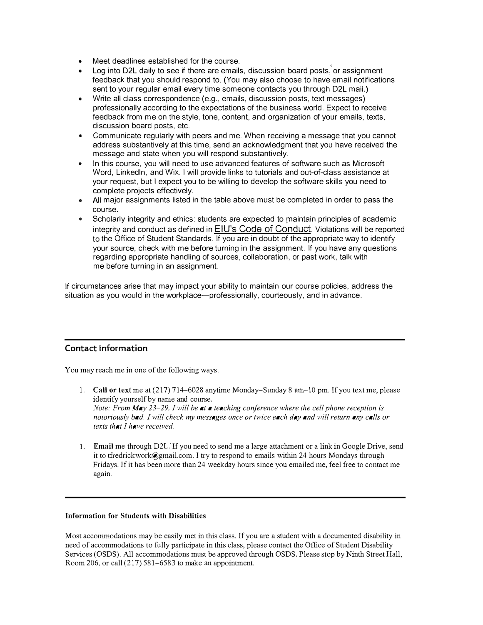- Meet deadlines established for the course.
- Log into D2L daily to see if there are emails, discussion board posts, or assignment feedback that you should respond to. (You may also choose to have email notifications sent to your regular email every time someone contacts you through D2L mail.)
- Write all class correspondence (e.g., emails, discussion posts, text messages) professionally according to the expectations of the business world. Expect to receive feedback from me on the style, tone, content, and organization of your emails, texts, discussion board posts, etc.
- Communicate regularly with peers and me. When receiving a message that you cannot address substantively at this time, send an acknowledgment that you have received the message and state when you will respond substantively.
- In this course, you will need to use advanced features of software such as Microsoft Word, Linkedln, and Wix. I will provide links to tutorials and out-of-class assistance at your request, but I expect you to be willing to develop the software skills you need to complete projects effectively.
- All major assignments listed in the table above must be completed in order to pass the course.
- Scholarly integrity and ethics: students are expected to maintain principles of academic integrity and conduct as defined in EIU's Code of Conduct. Violations will be reported to the Office of Student Standards. If you are in doubt of the appropriate way to identify your source, check with me before turning in the assignment. If you have any questions regarding appropriate handling of sources, collaboration, or past work, talk with me before turning in an assignment.

If circumstances arise that may impact your ability to maintain our course policies, address the situation as you would in the workplace--professionally, courteously, and in advance.

## Contact Information

You may reach me in one of the following ways:

- 1. Call or text me at  $(217)$  714–6028 anytime Monday–Sunday 8 am–10 pm. If you text me, please identify yourself by name and course. Note: From  $May 23-29$ , I will be at a teaching conference where the cell phone reception is notoriously bad. I will check my messages once or twice each day and will return any calls or texts that I have received.
- 1. Email me through D2L If you need to send me a large attachment or a link in Google Drive, send it to tfredrickwork@gmail.com. I try to respond to emails within 24 hours Mondays through Fridays. If it has been more than 24 weekday hours since you emailed me, feel free to contact me again.

#### Information for Students with Disabilities

Most accommodations may be easily met in this class. If you are a student with a documented disability in need of accommodations to fully participate in this class, please contact the Office of Student Disability Services (OSDS). All accommodations must be approved through OSDS. Please stop by Ninth Street Hall, Room 206, or call (217) 581-6583 to make an appointment.